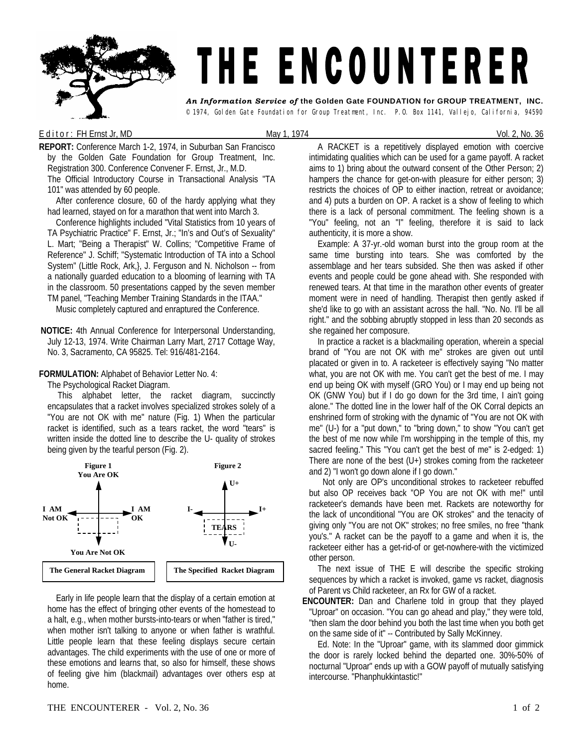

## E d it or : FH Ernst Jr, MD  $\qquad \qquad$  May 1, 1974 Vol. 2, No. 36

**REPORT:** Conference March 1-2, 1974, in Suburban San Francisco by the Golden Gate Foundation for Group Treatment, Inc. Registration 300. Conference Convener F. Ernst, Jr., M.D. The Official Introductory Course in Transactional Analysis "TA

101" was attended by 60 people.

 After conference closure, 60 of the hardy applying what they had learned, stayed on for a marathon that went into March 3.

 Conference highlights included "Vital Statistics from 10 years of TA Psychiatric Practice" F. Ernst, Jr.; "In's and Out's of Sexuality" L. Mart; "Being a Therapist" W. Collins; "Competitive Frame of Reference" J. Schiff; "Systematic Introduction of TA into a School System" (Little Rock, Ark,}, J. Ferguson and N. Nicholson -- from a nationally guarded education to a blooming of learning with TA in the classroom. 50 presentations capped by the seven member TM panel, "Teaching Member Training Standards in the ITAA."

Music completely captured and enraptured the Conference.

**NOTICE:** 4th Annual Conference for Interpersonal Understanding, July 12-13, 1974. Write Chairman Larry Mart, 2717 Cottage Way, No. 3, Sacramento, CA 95825. Tel: 916/481-2164.

## **FORMULATION:** Alphabet of Behavior Letter No. 4:

The Psychological Racket Diagram.

This alphabet letter, the racket diagram, succinctly encapsulates that a racket involves specialized strokes solely of a "You are not OK with me" nature (Fig. 1) When the particular racket is identified, such as a tears racket, the word "tears" is written inside the dotted line to describe the U- quality of strokes being given by the tearful person (Fig. 2).



 Early in life people learn that the display of a certain emotion at home has the effect of bringing other events of the homestead to a halt, e.g., when mother bursts-into-tears or when "father is tired," when mother isn't talking to anyone or when father is wrathful. Little people learn that these feeling displays secure certain advantages. The child experiments with the use of one or more of these emotions and learns that, so also for himself, these shows of feeling give him (blackmail) advantages over others esp at home.

A RACKET is a repetitively displayed emotion with coercive intimidating qualities which can be used for a game payoff. A racket aims to 1) bring about the outward consent of the Other Person; 2) hampers the chance for get-on-with pleasure for either person; 3) restricts the choices of OP to either inaction, retreat or avoidance; and 4) puts a burden on OP. A racket is a show of feeling to which there is a lack of personal commitment. The feeling shown is a "You" feeling, not an "I" feeling, therefore it is said to lack authenticity, it is more a show.

Example: A 37-yr.-old woman burst into the group room at the same time bursting into tears. She was comforted by the assemblage and her tears subsided. She then was asked if other events and people could be gone ahead with. She responded with renewed tears. At that time in the marathon other events of greater moment were in need of handling. Therapist then gently asked if she'd like to go with an assistant across the hall. "No. No. I'll be all right." and the sobbing abruptly stopped in less than 20 seconds as she regained her composure.

In practice a racket is a blackmailing operation, wherein a special brand of "You are not OK with me" strokes are given out until placated or given in to. A racketeer is effectively saying "No matter what, you are not OK with me. You can't get the best of me. I may end up being OK with myself (GRO You) or I may end up being not OK (GNW You) but if I do go down for the 3rd time, I ain't going alone." The dotted line in the lower half of the OK Corral depicts an enshrined form of stroking with the dynamic of "You are not OK with me" (U-) for a "put down," to "bring down," to show "You can't get the best of me now while I'm worshipping in the temple of this, my sacred feeling." This "You can't get the best of me" is 2-edged: 1) There are none of the best  $(U+)$  strokes coming from the racketeer and 2) "I won't go down alone if I go down."

Not only are OP's unconditional strokes to racketeer rebuffed but also OP receives back "OP You are not OK with me!" until racketeer's demands have been met. Rackets are noteworthy for the lack of unconditional "You are OK strokes" and the tenacity of giving only "You are not OK" strokes; no free smiles, no free "thank you's." A racket can be the payoff to a game and when it is, the racketeer either has a get-rid-of or get-nowhere-with the victimized other person.

The next issue of THE E will describe the specific stroking sequences by which a racket is invoked, game vs racket, diagnosis of Parent vs Child racketeer, an Rx for GW of a racket.

**ENCOUNTER:** Dan and Charlene told in group that they played "Uproar" on occasion. "You can go ahead and play," they were told, "then slam the door behind you both the last time when you both get on the same side of it" -- Contributed by Sally McKinney.

Ed. Note: In the "Uproar" game, with its slammed door gimmick the door is rarely locked behind the departed one. 30%-50% of nocturnal "Uproar" ends up with a GOW payoff of mutually satisfying intercourse. "Phanphukkintastic!"